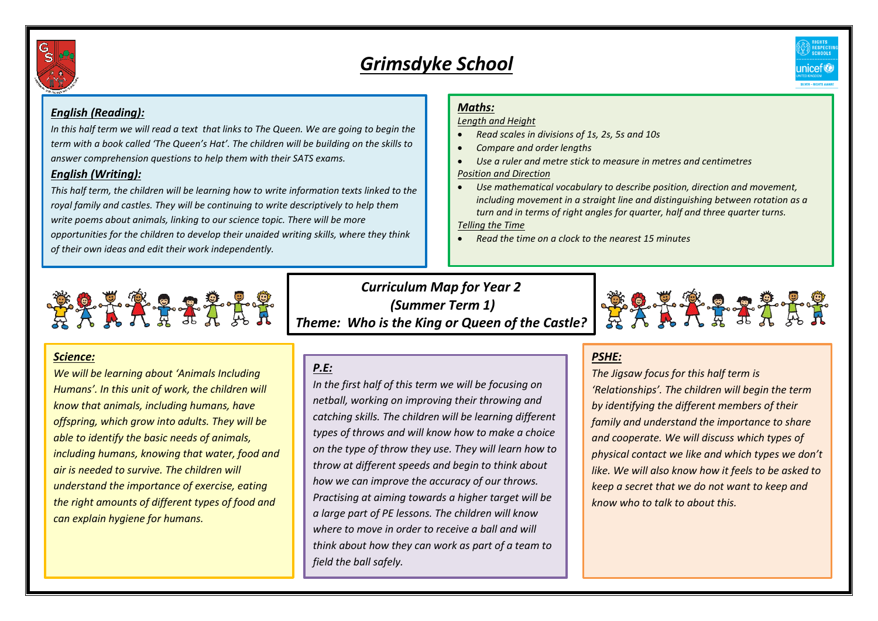

# *Grimsdyke School*



### *English (Reading):*

*In this half term we will read a text that links to The Queen. We are going to begin the term with a book called 'The Queen's Hat'. The children will be building on the skills to answer comprehension questions to help them with their SATS exams.* 

#### *English (Writing):*

*This half term, the children will be learning how to write information texts linked to the royal family and castles. They will be continuing to write descriptively to help them write poems about animals, linking to our science topic. There will be more opportunities for the children to develop their unaided writing skills, where they think of their own ideas and edit their work independently.* 

## *Maths:*

*Length and Height*

- *Read scales in divisions of 1s, 2s, 5s and 10s*
- *Compare and order lengths*
- *Use a ruler and metre stick to measure in metres and centimetres Position and Direction*
- *Use mathematical vocabulary to describe position, direction and movement, including movement in a straight line and distinguishing between rotation as a turn and in terms of right angles for quarter, half and three quarter turns.*

*Telling the Time*

*Read the time on a clock to the nearest 15 minutes*



#### *Science:*

*We will be learning about 'Animals Including Humans'. In this unit of work, the children will know that animals, including humans, have offspring, which grow into adults. They will be able to identify the basic needs of animals, including humans, knowing that water, food and air is needed to survive. The children will understand the importance of exercise, eating the right amounts of different types of food and can explain hygiene for humans.*

*Curriculum Map for Year 2 (Summer Term 1) Theme: Who is the King or Queen of the Castle?*



## *P.E:*

*In the first half of this term we will be focusing on netball, working on improving their throwing and catching skills. The children will be learning different types of throws and will know how to make a choice on the type of throw they use. They will learn how to throw at different speeds and begin to think about how we can improve the accuracy of our throws. Practising at aiming towards a higher target will be a large part of PE lessons. The children will know where to move in order to receive a ball and will think about how they can work as part of a team to field the ball safely.*

## *PSHE:*

*The Jigsaw focus for this half term is 'Relationships'. The children will begin the term by identifying the different members of their family and understand the importance to share and cooperate. We will discuss which types of physical contact we like and which types we don't like. We will also know how it feels to be asked to keep a secret that we do not want to keep and know who to talk to about this.*